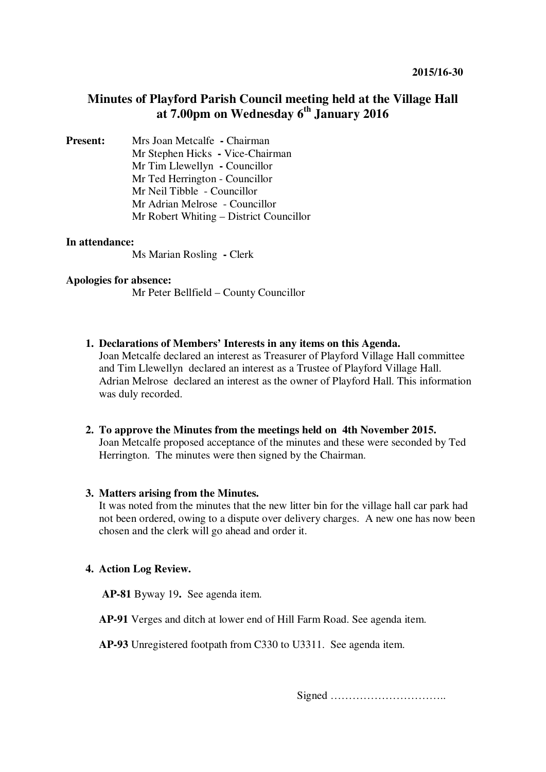# **Minutes of Playford Parish Council meeting held at the Village Hall at 7.00pm on Wednesday 6th January 2016**

**Present:** Mrs Joan Metcalfe **- Chairman** Mr Stephen Hicks **-** Vice-Chairman Mr Tim Llewellyn **-** Councillor Mr Ted Herrington - Councillor Mr Neil Tibble - Councillor Mr Adrian Melrose - Councillor Mr Robert Whiting – District Councillor

# **In attendance:**

Ms Marian Rosling **-** Clerk

#### **Apologies for absence:**

Mr Peter Bellfield – County Councillor

- **1. Declarations of Members' Interests in any items on this Agenda.**  Joan Metcalfe declared an interest as Treasurer of Playford Village Hall committee and Tim Llewellyn declared an interest as a Trustee of Playford Village Hall. Adrian Melrose declared an interest as the owner of Playford Hall. This information was duly recorded.
- **2. To approve the Minutes from the meetings held on 4th November 2015.**  Joan Metcalfe proposed acceptance of the minutes and these were seconded by Ted Herrington. The minutes were then signed by the Chairman.

#### **3. Matters arising from the Minutes.**

It was noted from the minutes that the new litter bin for the village hall car park had not been ordered, owing to a dispute over delivery charges. A new one has now been chosen and the clerk will go ahead and order it.

### **4. Action Log Review.**

**AP-81** Byway 19**.** See agenda item.

**AP-91** Verges and ditch at lower end of Hill Farm Road. See agenda item.

**AP-93** Unregistered footpath from C330 to U3311. See agenda item.

Signed …………………………..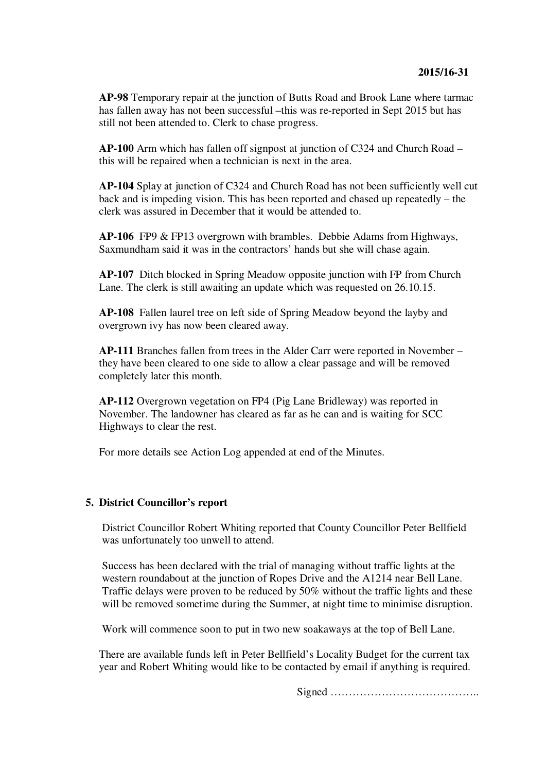**AP-98** Temporary repair at the junction of Butts Road and Brook Lane where tarmac has fallen away has not been successful –this was re-reported in Sept 2015 but has still not been attended to. Clerk to chase progress.

**AP-100** Arm which has fallen off signpost at junction of C324 and Church Road – this will be repaired when a technician is next in the area.

**AP-104** Splay at junction of C324 and Church Road has not been sufficiently well cut back and is impeding vision. This has been reported and chased up repeatedly – the clerk was assured in December that it would be attended to.

**AP-106** FP9 & FP13 overgrown with brambles. Debbie Adams from Highways, Saxmundham said it was in the contractors' hands but she will chase again.

**AP-107** Ditch blocked in Spring Meadow opposite junction with FP from Church Lane. The clerk is still awaiting an update which was requested on 26.10.15.

**AP-108** Fallen laurel tree on left side of Spring Meadow beyond the layby and overgrown ivy has now been cleared away.

**AP-111** Branches fallen from trees in the Alder Carr were reported in November – they have been cleared to one side to allow a clear passage and will be removed completely later this month.

**AP-112** Overgrown vegetation on FP4 (Pig Lane Bridleway) was reported in November. The landowner has cleared as far as he can and is waiting for SCC Highways to clear the rest.

For more details see Action Log appended at end of the Minutes.

#### **5. District Councillor's report**

District Councillor Robert Whiting reported that County Councillor Peter Bellfield was unfortunately too unwell to attend.

Success has been declared with the trial of managing without traffic lights at the western roundabout at the junction of Ropes Drive and the A1214 near Bell Lane. Traffic delays were proven to be reduced by 50% without the traffic lights and these will be removed sometime during the Summer, at night time to minimise disruption.

Work will commence soon to put in two new soakaways at the top of Bell Lane.

There are available funds left in Peter Bellfield's Locality Budget for the current tax year and Robert Whiting would like to be contacted by email if anything is required.

Signed …………………………………..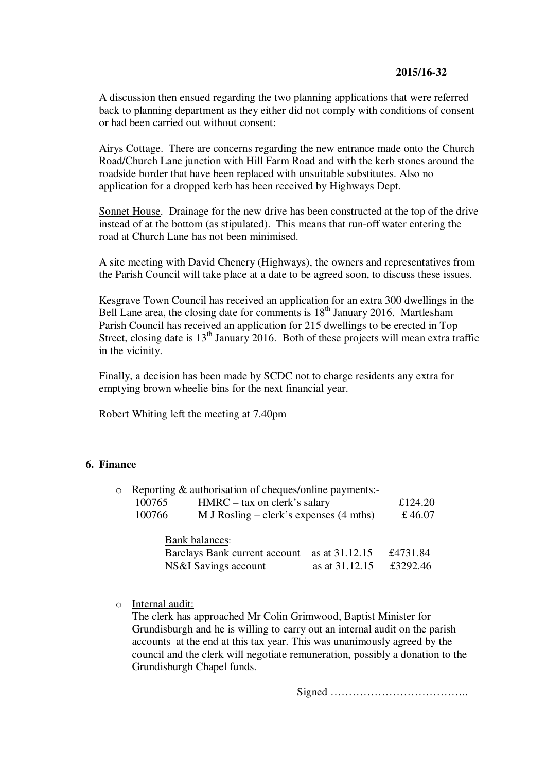# **2015/16-32**

A discussion then ensued regarding the two planning applications that were referred back to planning department as they either did not comply with conditions of consent or had been carried out without consent:

Airys Cottage. There are concerns regarding the new entrance made onto the Church Road/Church Lane junction with Hill Farm Road and with the kerb stones around the roadside border that have been replaced with unsuitable substitutes. Also no application for a dropped kerb has been received by Highways Dept.

Sonnet House. Drainage for the new drive has been constructed at the top of the drive instead of at the bottom (as stipulated). This means that run-off water entering the road at Church Lane has not been minimised.

A site meeting with David Chenery (Highways), the owners and representatives from the Parish Council will take place at a date to be agreed soon, to discuss these issues.

Kesgrave Town Council has received an application for an extra 300 dwellings in the Bell Lane area, the closing date for comments is  $18<sup>th</sup>$  January 2016. Martlesham Parish Council has received an application for 215 dwellings to be erected in Top Street, closing date is  $13<sup>th</sup>$  January 2016. Both of these projects will mean extra traffic in the vicinity.

Finally, a decision has been made by SCDC not to charge residents any extra for emptying brown wheelie bins for the next financial year.

Robert Whiting left the meeting at 7.40pm

## **6. Finance**

| $\circ$ | Reporting & authorisation of cheques/online payments:- |                                                   |          |          |
|---------|--------------------------------------------------------|---------------------------------------------------|----------|----------|
|         | $HMRC - tax$ on clerk's salary<br>100765               |                                                   | £124.20  |          |
|         | 100766                                                 | M J Rosling – clerk's expenses $(4 \text{ mths})$ |          | £ 46.07  |
|         |                                                        |                                                   |          |          |
|         | <b>Bank balances:</b>                                  |                                                   |          |          |
|         | Barclays Bank current account<br>as at 31.12.15        |                                                   | £4731.84 |          |
|         | NS&I Savings account<br>as at 31.12.15                 |                                                   |          | £3292.46 |

o Internal audit:

The clerk has approached Mr Colin Grimwood, Baptist Minister for Grundisburgh and he is willing to carry out an internal audit on the parish accounts at the end at this tax year. This was unanimously agreed by the council and the clerk will negotiate remuneration, possibly a donation to the Grundisburgh Chapel funds.

Signed ………………………………..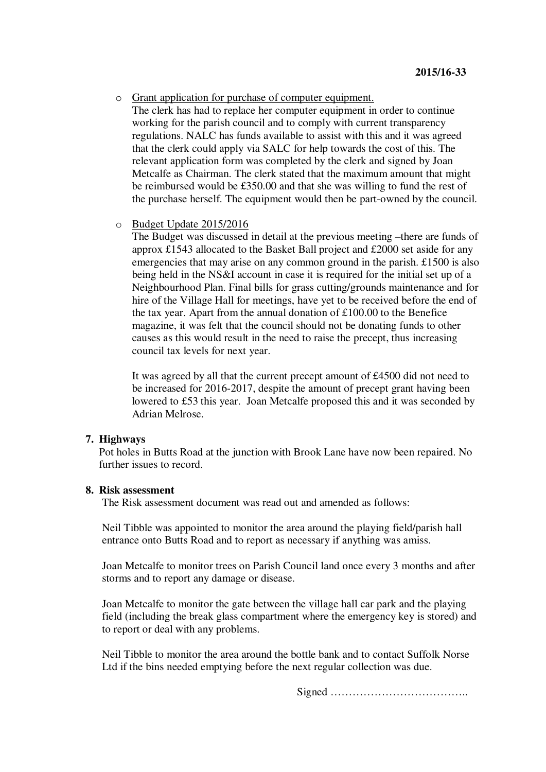o Grant application for purchase of computer equipment.

The clerk has had to replace her computer equipment in order to continue working for the parish council and to comply with current transparency regulations. NALC has funds available to assist with this and it was agreed that the clerk could apply via SALC for help towards the cost of this. The relevant application form was completed by the clerk and signed by Joan Metcalfe as Chairman. The clerk stated that the maximum amount that might be reimbursed would be £350.00 and that she was willing to fund the rest of the purchase herself. The equipment would then be part-owned by the council.

o Budget Update 2015/2016

The Budget was discussed in detail at the previous meeting –there are funds of approx £1543 allocated to the Basket Ball project and £2000 set aside for any emergencies that may arise on any common ground in the parish. £1500 is also being held in the NS&I account in case it is required for the initial set up of a Neighbourhood Plan. Final bills for grass cutting/grounds maintenance and for hire of the Village Hall for meetings, have yet to be received before the end of the tax year. Apart from the annual donation of £100.00 to the Benefice magazine, it was felt that the council should not be donating funds to other causes as this would result in the need to raise the precept, thus increasing council tax levels for next year.

It was agreed by all that the current precept amount of £4500 did not need to be increased for 2016-2017, despite the amount of precept grant having been lowered to £53 this year. Joan Metcalfe proposed this and it was seconded by Adrian Melrose.

#### **7. Highways**

Pot holes in Butts Road at the junction with Brook Lane have now been repaired. No further issues to record.

# **8. Risk assessment**

The Risk assessment document was read out and amended as follows:

Neil Tibble was appointed to monitor the area around the playing field/parish hall entrance onto Butts Road and to report as necessary if anything was amiss.

Joan Metcalfe to monitor trees on Parish Council land once every 3 months and after storms and to report any damage or disease.

Joan Metcalfe to monitor the gate between the village hall car park and the playing field (including the break glass compartment where the emergency key is stored) and to report or deal with any problems.

Neil Tibble to monitor the area around the bottle bank and to contact Suffolk Norse Ltd if the bins needed emptying before the next regular collection was due.

Signed ………………………………..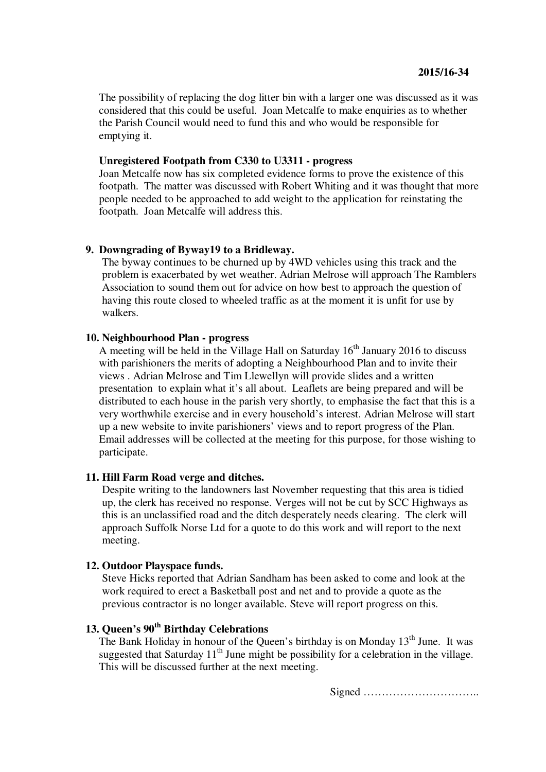The possibility of replacing the dog litter bin with a larger one was discussed as it was considered that this could be useful. Joan Metcalfe to make enquiries as to whether the Parish Council would need to fund this and who would be responsible for emptying it.

# **Unregistered Footpath from C330 to U3311 - progress**

Joan Metcalfe now has six completed evidence forms to prove the existence of this footpath. The matter was discussed with Robert Whiting and it was thought that more people needed to be approached to add weight to the application for reinstating the footpath. Joan Metcalfe will address this.

#### **9. Downgrading of Byway19 to a Bridleway.**

The byway continues to be churned up by 4WD vehicles using this track and the problem is exacerbated by wet weather. Adrian Melrose will approach The Ramblers Association to sound them out for advice on how best to approach the question of having this route closed to wheeled traffic as at the moment it is unfit for use by walkers.

# **10. Neighbourhood Plan - progress**

A meeting will be held in the Village Hall on Saturday  $16<sup>th</sup>$  January 2016 to discuss with parishioners the merits of adopting a Neighbourhood Plan and to invite their views . Adrian Melrose and Tim Llewellyn will provide slides and a written presentation to explain what it's all about. Leaflets are being prepared and will be distributed to each house in the parish very shortly, to emphasise the fact that this is a very worthwhile exercise and in every household's interest. Adrian Melrose will start up a new website to invite parishioners' views and to report progress of the Plan. Email addresses will be collected at the meeting for this purpose, for those wishing to participate.

# **11. Hill Farm Road verge and ditches.**

Despite writing to the landowners last November requesting that this area is tidied up, the clerk has received no response. Verges will not be cut by SCC Highways as this is an unclassified road and the ditch desperately needs clearing. The clerk will approach Suffolk Norse Ltd for a quote to do this work and will report to the next meeting.

## **12. Outdoor Playspace funds.**

Steve Hicks reported that Adrian Sandham has been asked to come and look at the work required to erect a Basketball post and net and to provide a quote as the previous contractor is no longer available. Steve will report progress on this.

# **13. Queen's 90th Birthday Celebrations**

The Bank Holiday in honour of the Queen's birthday is on Monday 13<sup>th</sup> June. It was suggested that Saturday  $11<sup>th</sup>$  June might be possibility for a celebration in the village. This will be discussed further at the next meeting.

Signed …………………………..